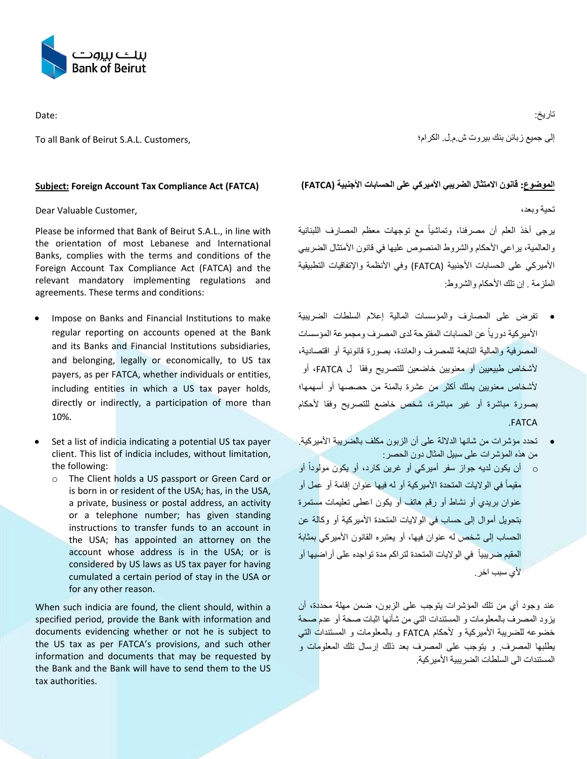

Date:

To all Bank of Beirut S.A.L. Customers,

## **Subject: Foreign Account Tax Compliance Act (FATCA)**

Dear Valuable Customer,

Please be informed that Bank of Beirut S.A.L., in line with the orientation of most Lebanese and International Banks, complies with the terms and conditions of the Foreign Account Tax Compliance Act (FATCA) and the relevant mandatory implementing regulations and agreements. These terms and conditions:

- Impose on Banks and Financial Institutions to make regular reporting on accounts opened at the Bank and its Banks and Financial Institutions subsidiaries, and belonging, legally or economically, to US tax payers, as per FATCA, whether individuals or entities, including entities in which a US tax payer holds, directly or indirectly, a participation of more than 10%.
- Set a list of indicia indicating a potential US tax payer client. This list of indicia includes, without limitation, the following:
	- o The Client holds a US passport or Green Card or is born in or resident of the USA; has, in the USA, a private, business or postal address, an activity or a telephone number; has given standing instructions to transfer funds to an account in the USA; has appointed an attorney on the account whose address is in the USA; or is considered by US laws as US tax payer for having cumulated a certain period of stay in the USA or for any other reason.

When such indicia are found, the client should, within a specified period, provide the Bank with information and documents evidencing whether or not he is subject to the US tax as per FATCA's provisions, and such other information and documents that may be requested by the Bank and the Bank will have to send them to the US tax authorities.

إلى جميع زبائن بنك بيروت ش.م.ل. الكرام؛

## الموضوع: قانون الامتثال الضريبي الأميركي على الحسابات الأجنبية (FATCA)

تحية وبعد،

برجي أخذ العلم أن مصرفنا، وتماشياً مع توجهات معظم المصارف اللبنانية والعالمية، يراعي الأحكام والشروط المنصوص عليها في قانون الأمتثال الضريبي الأميركي على الحسابات الأجنبية (FATCA) وفي الأنظمة والإتفاقيات التطبيقية الملزمة . إن تلك الأحكام والشر وط:

- تفرض على المصارف والمؤسسات المالية إعالم السلطات الضريبية الأميركية دورياً عن الحسابات المفتوحة لدى المصرف ومجموعة المؤسسات المصرفية والمالية التابعة للمصرف والعائدة، بصورة قانونية أو اقتصادية، ألشخاص طبيعيين أو معنويين خاضعين للتصريح وفقا ل FATCA، أو ألشخاص معنويين يملك أكثر من عشرة بالمئة من حصصها أو أسهمها؛ بصورة مباشرة أو غير مباشرة، شخص خاضع للتصريح وفقا ألحكام .FATCA
- تحدد مؤشرات من شانها الداللة على أن الزبون مكلف بالضريبة األميركية. من هذه المؤشرات على سبيل المثال دون الحصر:
- ً أو o أن يكون لديه جواز سفر أميركي أو غرين كارد، أو يكون مولودا مقيماً في الولايات المتحدة الأميركية أو له فيها عنوان إقامة أو عمل أو عنوان بريدي أو نشاط أو رقم هاتف أو يكون اعطى تعليمات مستمرة بتحويل أموال إلى حساب في الواليات المتحدة األميركية أو وكالة عن الحساب إلى شخص له عنوان فيها، أو يعتبره القانون األميركي بمثابة المقيم ضريبياً في الولايات المتحدة لتراكم مدة تواجده على أراضيها أو لأي سبب اخر

عند وجود أي من تلك المؤشرات يتوجب على الزبون، ضمن مهلة محددة، أن يزود المصرف بالمعلومات و المستندات التي من شأنها اثبات صحة أو عدم صحة خضوعه للضريبة الأميركية و لأحكام FATCA و بالمعلومات و المستندات التي يطلبها المصرف. و يتوجب على المصرف بعد ذلك إرسال تلك المعلومات و المستندات الى السلطات الضر ببية الأمير كية.

تاريخ: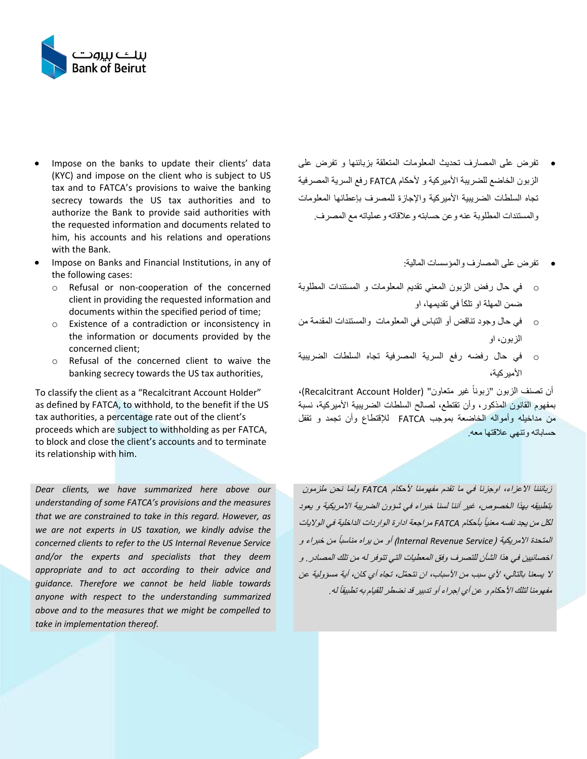

- Impose on the banks to update their clients' data (KYC) and impose on the client who is subject to US tax and to FATCA's provisions to waive the banking secrecy towards the US tax authorities and to authorize the Bank to provide said authorities with the requested information and documents related to him, his accounts and his relations and operations with the Bank.
- Impose on Banks and Financial Institutions, in any of the following cases:
	- o Refusal or non-cooperation of the concerned client in providing the requested information and documents within the specified period of time;
	- o Existence of a contradiction or inconsistency in the information or documents provided by the concerned client;
	- o Refusal of the concerned client to waive the banking secrecy towards the US tax authorities,

To classify the client as a "Recalcitrant Account Holder" as defined by FATCA, to withhold, to the benefit if the US tax authorities, a percentage rate out of the client's proceeds which are subject to withholding as per FATCA, to block and close the client's accounts and to terminate its relationship with him.

*Dear clients, we have summarized here above our understanding of some FATCA's provisions and the measures that we are constrained to take in this regard. However, as we are not experts in US taxation, we kindly advise the concerned clients to refer to the US Internal Revenue Service and/or the experts and specialists that they deem appropriate and to act according to their advice and guidance. Therefore we cannot be held liable towards anyone with respect to the understanding summarized above and to the measures that we might be compelled to take in implementation thereof.* 

- تفرض على المصارف تحديث المعلومات المتعلقة بزبائنها و تفرض على الزبون الخاضع للضربية الأمير كية و الأحكام FATCA رفع السرية المصرفية تجاه السلطات الضريبية الأميركية والإجازة للمصرف بإعطائها المعلومات والمستندات المطلوبة عنه وعن حسابته وعالقاته وعملياته مع المصرف.
	- تفرض على المصارف والمؤسسات المالية:
- o في حال رفض الزبون المعني تقديم المعلومات و المستندات المطلوبة ضمن المهلة او تلكأ في تقديمها، او
- o في حال وجود تناقض أو التباس في المعلومات والمستندات المقدمة من الزبون، او
- o في حال رفضه رفع السرية المصرفية تجاه السلطات الضريبية األميركية،

أن تصنف الزبون "زبوناً غير متعاون" (Recalcitrant Account Holder)، بمفهوم القانون المذكور، وأن تقتطع، لصالح السلطات الضريبية األميركية، نسبة من مداخيله وأمواله الخاضعة بموجب FATCA لإلقتطاع وأن تجمد و تقفل حساباته وتنهي عالقتها معه.

زبائننا االعزاء، اوجزنا في ما تقدم مفهومنا ألحكام *FATCA* ولما نحن ملزمون بتطبيقه بهذا الخصوص، غير أننا لسنا خبراء في شؤون الضريبة االمريكية و يعود لكل من يجد نفسه معنياً بأحكام FATCA مراجعة ادارة الواردات الداخلية في الولايات المتحدة الامريكية (Internal Revenue Service*) أو من يراه مناسباً من خبراء و* اخصائيين في هذا الشأن للتصرف وفق المعطيات التي تتوفر له من تلك المصادر. و ال يسعنا بالتالي، ألي سبب من األسباب، ان نتح ّمل، تجاه أي كان، أية مسؤولية عن مفهومنا لتلك الأحكام و عن أي إجراء أو تدبير قد نضطر للقيام به تطبيقاً له ـ